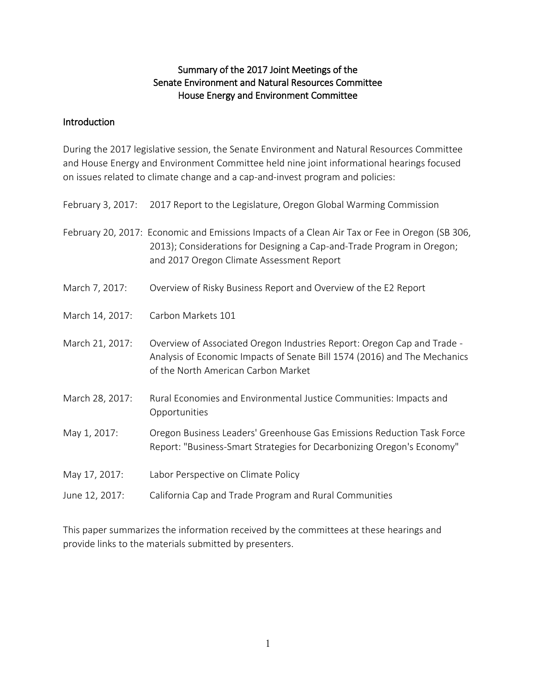#### Summary of the 2017 Joint Meetings of the Senate Environment and Natural Resources Committee House Energy and Environment Committee

#### **Introduction**

During the 2017 legislative session, the Senate Environment and Natural Resources Committee and House Energy and Environment Committee held nine joint informational hearings focused on issues related to climate change and a cap-and-invest program and policies:

|  | February 3, 2017: 2017 Report to the Legislature, Oregon Global Warming Commission |
|--|------------------------------------------------------------------------------------|
|  |                                                                                    |

February 20, 2017: Economic and Emissions Impacts of a Clean Air Tax or Fee in Oregon (SB 306, 2013); Considerations for Designing a Cap-and-Trade Program in Oregon; and 2017 Oregon Climate Assessment Report

- March 7, 2017: Overview of Risky Business Report and Overview of the E2 Report
- March 14, 2017: Carbon Markets 101
- March 21, 2017: Overview of Associated Oregon Industries Report: Oregon Cap and Trade -Analysis of Economic Impacts of Senate Bill 1574 (2016) and The Mechanics of the North American Carbon Market
- March 28, 2017: Rural Economies and Environmental Justice Communities: Impacts and Opportunities
- May 1, 2017: Oregon Business Leaders' Greenhouse Gas Emissions Reduction Task Force Report: "Business-Smart Strategies for Decarbonizing Oregon's Economy"
- May 17, 2017: Labor Perspective on Climate Policy
- June 12, 2017: California Cap and Trade Program and Rural Communities

This paper summarizes the information received by the committees at these hearings and provide links to the materials submitted by presenters.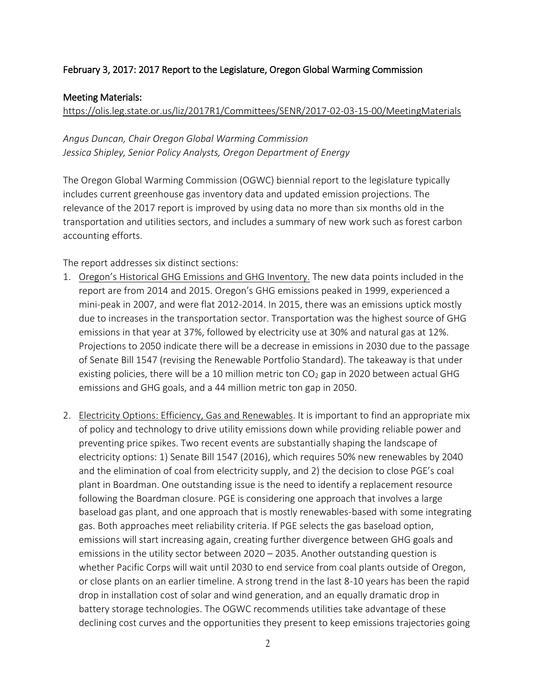### February 3, 2017: 2017 Report to the Legislature, Oregon Global Warming Commission

#### Meeting Materials:

<https://olis.leg.state.or.us/liz/2017R1/Committees/SENR/2017-02-03-15-00/MeetingMaterials>

*Angus Duncan, Chair Oregon Global Warming Commission Jessica Shipley, Senior Policy Analysts, Oregon Department of Energy*

The Oregon Global Warming Commission (OGWC) biennial report to the legislature typically includes current greenhouse gas inventory data and updated emission projections. The relevance of the 2017 report is improved by using data no more than six months old in the transportation and utilities sectors, and includes a summary of new work such as forest carbon accounting efforts.

The report addresses six distinct sections:

- 1. Oregon's Historical GHG Emissions and GHG Inventory. The new data points included in the report are from 2014 and 2015. Oregon's GHG emissions peaked in 1999, experienced a mini-peak in 2007, and were flat 2012-2014. In 2015, there was an emissions uptick mostly due to increases in the transportation sector. Transportation was the highest source of GHG emissions in that year at 37%, followed by electricity use at 30% and natural gas at 12%. Projections to 2050 indicate there will be a decrease in emissions in 2030 due to the passage of Senate Bill 1547 (revising the Renewable Portfolio Standard). The takeaway is that under existing policies, there will be a 10 million metric ton  $CO<sub>2</sub>$  gap in 2020 between actual GHG emissions and GHG goals, and a 44 million metric ton gap in 2050.
- 2. Electricity Options: Efficiency, Gas and Renewables. It is important to find an appropriate mix of policy and technology to drive utility emissions down while providing reliable power and preventing price spikes. Two recent events are substantially shaping the landscape of electricity options: 1) Senate Bill 1547 (2016), which requires 50% new renewables by 2040 and the elimination of coal from electricity supply, and 2) the decision to close PGE's coal plant in Boardman. One outstanding issue is the need to identify a replacement resource following the Boardman closure. PGE is considering one approach that involves a large baseload gas plant, and one approach that is mostly renewables-based with some integrating gas. Both approaches meet reliability criteria. If PGE selects the gas baseload option, emissions will start increasing again, creating further divergence between GHG goals and emissions in the utility sector between 2020 – 2035. Another outstanding question is whether Pacific Corps will wait until 2030 to end service from coal plants outside of Oregon, or close plants on an earlier timeline. A strong trend in the last 8-10 years has been the rapid drop in installation cost of solar and wind generation, and an equally dramatic drop in battery storage technologies. The OGWC recommends utilities take advantage of these declining cost curves and the opportunities they present to keep emissions trajectories going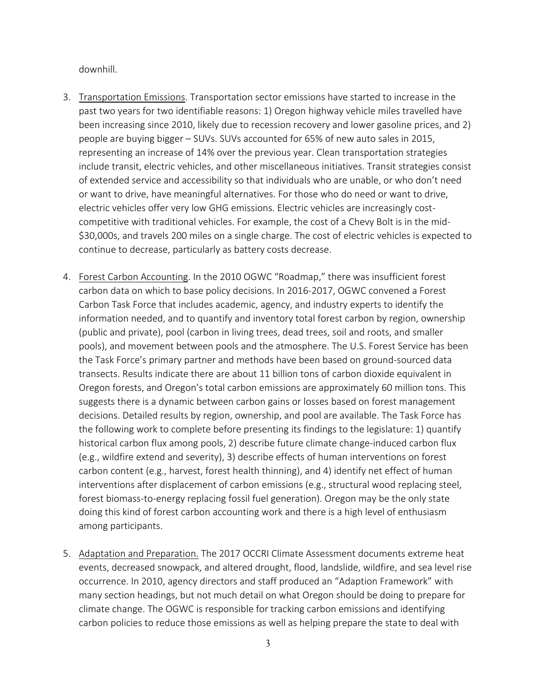downhill.

- 3. Transportation Emissions. Transportation sector emissions have started to increase in the past two years for two identifiable reasons: 1) Oregon highway vehicle miles travelled have been increasing since 2010, likely due to recession recovery and lower gasoline prices, and 2) people are buying bigger – SUVs. SUVs accounted for 65% of new auto sales in 2015, representing an increase of 14% over the previous year. Clean transportation strategies include transit, electric vehicles, and other miscellaneous initiatives. Transit strategies consist of extended service and accessibility so that individuals who are unable, or who don't need or want to drive, have meaningful alternatives. For those who do need or want to drive, electric vehicles offer very low GHG emissions. Electric vehicles are increasingly costcompetitive with traditional vehicles. For example, the cost of a Chevy Bolt is in the mid- \$30,000s, and travels 200 miles on a single charge. The cost of electric vehicles is expected to continue to decrease, particularly as battery costs decrease.
- 4. Forest Carbon Accounting. In the 2010 OGWC "Roadmap," there was insufficient forest carbon data on which to base policy decisions. In 2016-2017, OGWC convened a Forest Carbon Task Force that includes academic, agency, and industry experts to identify the information needed, and to quantify and inventory total forest carbon by region, ownership (public and private), pool (carbon in living trees, dead trees, soil and roots, and smaller pools), and movement between pools and the atmosphere. The U.S. Forest Service has been the Task Force's primary partner and methods have been based on ground-sourced data transects. Results indicate there are about 11 billion tons of carbon dioxide equivalent in Oregon forests, and Oregon's total carbon emissions are approximately 60 million tons. This suggests there is a dynamic between carbon gains or losses based on forest management decisions. Detailed results by region, ownership, and pool are available. The Task Force has the following work to complete before presenting its findings to the legislature: 1) quantify historical carbon flux among pools, 2) describe future climate change-induced carbon flux (e.g., wildfire extend and severity), 3) describe effects of human interventions on forest carbon content (e.g., harvest, forest health thinning), and 4) identify net effect of human interventions after displacement of carbon emissions (e.g., structural wood replacing steel, forest biomass-to-energy replacing fossil fuel generation). Oregon may be the only state doing this kind of forest carbon accounting work and there is a high level of enthusiasm among participants.
- 5. Adaptation and Preparation. The 2017 OCCRI Climate Assessment documents extreme heat events, decreased snowpack, and altered drought, flood, landslide, wildfire, and sea level rise occurrence. In 2010, agency directors and staff produced an "Adaption Framework" with many section headings, but not much detail on what Oregon should be doing to prepare for climate change. The OGWC is responsible for tracking carbon emissions and identifying carbon policies to reduce those emissions as well as helping prepare the state to deal with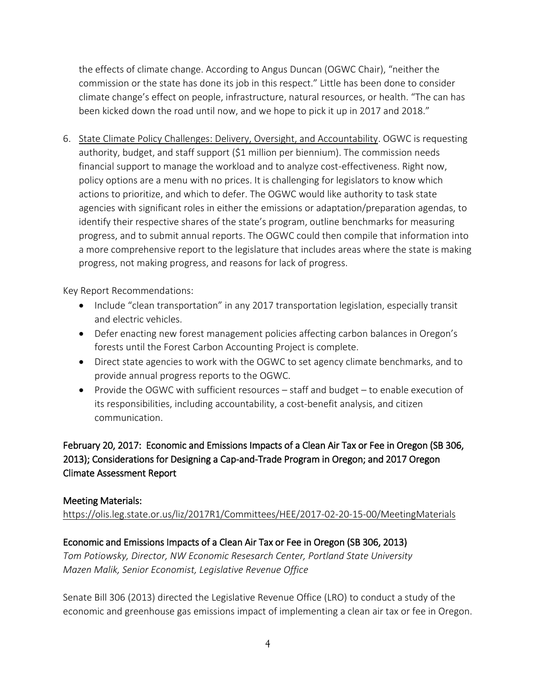the effects of climate change. According to Angus Duncan (OGWC Chair), "neither the commission or the state has done its job in this respect." Little has been done to consider climate change's effect on people, infrastructure, natural resources, or health. "The can has been kicked down the road until now, and we hope to pick it up in 2017 and 2018."

6. State Climate Policy Challenges: Delivery, Oversight, and Accountability. OGWC is requesting authority, budget, and staff support (\$1 million per biennium). The commission needs financial support to manage the workload and to analyze cost-effectiveness. Right now, policy options are a menu with no prices. It is challenging for legislators to know which actions to prioritize, and which to defer. The OGWC would like authority to task state agencies with significant roles in either the emissions or adaptation/preparation agendas, to identify their respective shares of the state's program, outline benchmarks for measuring progress, and to submit annual reports. The OGWC could then compile that information into a more comprehensive report to the legislature that includes areas where the state is making progress, not making progress, and reasons for lack of progress.

Key Report Recommendations:

- Include "clean transportation" in any 2017 transportation legislation, especially transit and electric vehicles.
- Defer enacting new forest management policies affecting carbon balances in Oregon's forests until the Forest Carbon Accounting Project is complete.
- Direct state agencies to work with the OGWC to set agency climate benchmarks, and to provide annual progress reports to the OGWC.
- Provide the OGWC with sufficient resources staff and budget to enable execution of its responsibilities, including accountability, a cost-benefit analysis, and citizen communication.

February 20, 2017: Economic and Emissions Impacts of a Clean Air Tax or Fee in Oregon (SB 306, 2013); Considerations for Designing a Cap-and-Trade Program in Oregon; and 2017 Oregon Climate Assessment Report

## Meeting Materials:

<https://olis.leg.state.or.us/liz/2017R1/Committees/HEE/2017-02-20-15-00/MeetingMaterials>

# Economic and Emissions Impacts of a Clean Air Tax or Fee in Oregon (SB 306, 2013)

*Tom Potiowsky, Director, NW Economic Resesarch Center, Portland State University Mazen Malik, Senior Economist, Legislative Revenue Office*

Senate Bill 306 (2013) directed the Legislative Revenue Office (LRO) to conduct a study of the economic and greenhouse gas emissions impact of implementing a clean air tax or fee in Oregon.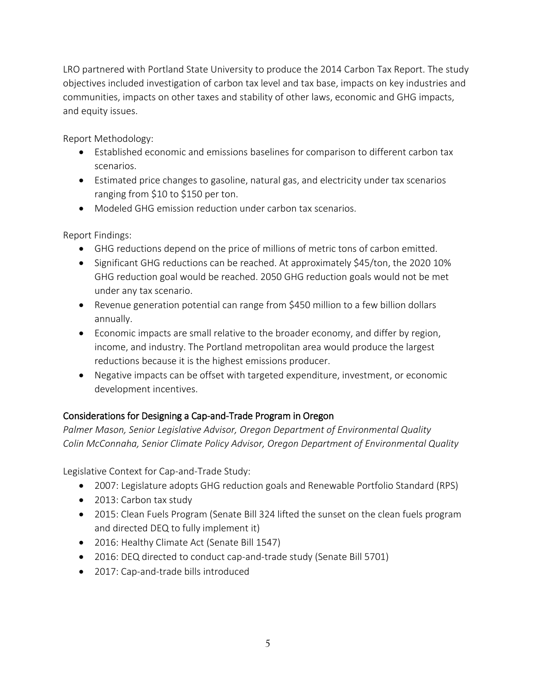LRO partnered with Portland State University to produce the 2014 Carbon Tax Report. The study objectives included investigation of carbon tax level and tax base, impacts on key industries and communities, impacts on other taxes and stability of other laws, economic and GHG impacts, and equity issues.

Report Methodology:

- Established economic and emissions baselines for comparison to different carbon tax scenarios.
- Estimated price changes to gasoline, natural gas, and electricity under tax scenarios ranging from \$10 to \$150 per ton.
- Modeled GHG emission reduction under carbon tax scenarios.

Report Findings:

- GHG reductions depend on the price of millions of metric tons of carbon emitted.
- Significant GHG reductions can be reached. At approximately \$45/ton, the 2020 10% GHG reduction goal would be reached. 2050 GHG reduction goals would not be met under any tax scenario.
- Revenue generation potential can range from \$450 million to a few billion dollars annually.
- Economic impacts are small relative to the broader economy, and differ by region, income, and industry. The Portland metropolitan area would produce the largest reductions because it is the highest emissions producer.
- Negative impacts can be offset with targeted expenditure, investment, or economic development incentives.

## Considerations for Designing a Cap-and-Trade Program in Oregon

*Palmer Mason, Senior Legislative Advisor, Oregon Department of Environmental Quality Colin McConnaha, Senior Climate Policy Advisor, Oregon Department of Environmental Quality*

Legislative Context for Cap-and-Trade Study:

- 2007: Legislature adopts GHG reduction goals and Renewable Portfolio Standard (RPS)
- 2013: Carbon tax study
- 2015: Clean Fuels Program (Senate Bill 324 lifted the sunset on the clean fuels program and directed DEQ to fully implement it)
- 2016: Healthy Climate Act (Senate Bill 1547)
- 2016: DEQ directed to conduct cap-and-trade study (Senate Bill 5701)
- 2017: Cap-and-trade bills introduced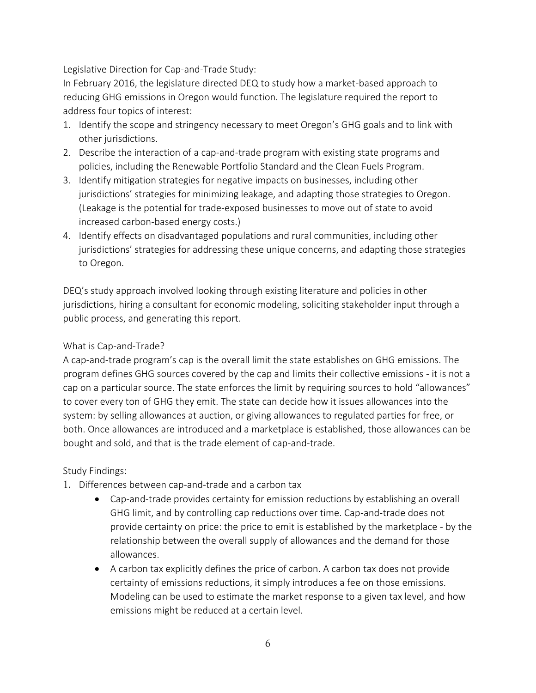Legislative Direction for Cap-and-Trade Study:

In February 2016, the legislature directed DEQ to study how a market-based approach to reducing GHG emissions in Oregon would function. The legislature required the report to address four topics of interest:

- 1. Identify the scope and stringency necessary to meet Oregon's GHG goals and to link with other jurisdictions.
- 2. Describe the interaction of a cap-and-trade program with existing state programs and policies, including the Renewable Portfolio Standard and the Clean Fuels Program.
- 3. Identify mitigation strategies for negative impacts on businesses, including other jurisdictions' strategies for minimizing leakage, and adapting those strategies to Oregon. (Leakage is the potential for trade-exposed businesses to move out of state to avoid increased carbon-based energy costs.)
- 4. Identify effects on disadvantaged populations and rural communities, including other jurisdictions' strategies for addressing these unique concerns, and adapting those strategies to Oregon.

DEQ's study approach involved looking through existing literature and policies in other jurisdictions, hiring a consultant for economic modeling, soliciting stakeholder input through a public process, and generating this report.

### What is Cap-and-Trade?

A cap-and-trade program's cap is the overall limit the state establishes on GHG emissions. The program defines GHG sources covered by the cap and limits their collective emissions - it is not a cap on a particular source. The state enforces the limit by requiring sources to hold "allowances" to cover every ton of GHG they emit. The state can decide how it issues allowances into the system: by selling allowances at auction, or giving allowances to regulated parties for free, or both. Once allowances are introduced and a marketplace is established, those allowances can be bought and sold, and that is the trade element of cap-and-trade.

#### Study Findings:

- 1. Differences between cap-and-trade and a carbon tax
	- Cap-and-trade provides certainty for emission reductions by establishing an overall GHG limit, and by controlling cap reductions over time. Cap-and-trade does not provide certainty on price: the price to emit is established by the marketplace - by the relationship between the overall supply of allowances and the demand for those allowances.
	- A carbon tax explicitly defines the price of carbon. A carbon tax does not provide certainty of emissions reductions, it simply introduces a fee on those emissions. Modeling can be used to estimate the market response to a given tax level, and how emissions might be reduced at a certain level.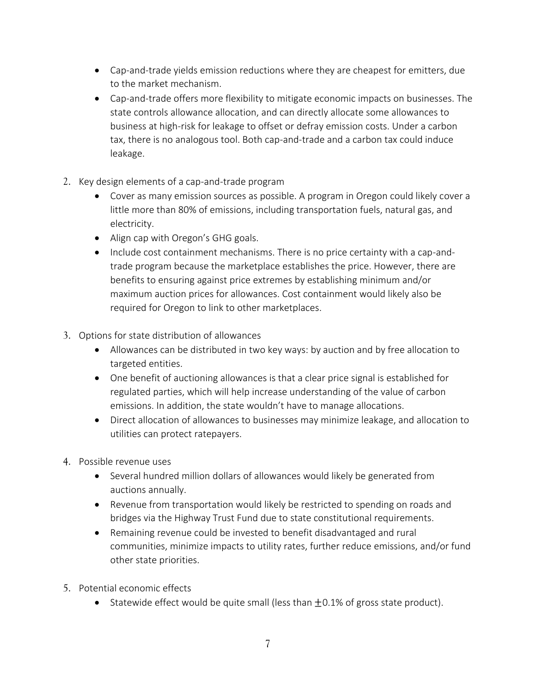- Cap-and-trade yields emission reductions where they are cheapest for emitters, due to the market mechanism.
- Cap-and-trade offers more flexibility to mitigate economic impacts on businesses. The state controls allowance allocation, and can directly allocate some allowances to business at high-risk for leakage to offset or defray emission costs. Under a carbon tax, there is no analogous tool. Both cap-and-trade and a carbon tax could induce leakage.
- 2. Key design elements of a cap-and-trade program
	- Cover as many emission sources as possible. A program in Oregon could likely cover a little more than 80% of emissions, including transportation fuels, natural gas, and electricity.
	- Align cap with Oregon's GHG goals.
	- Include cost containment mechanisms. There is no price certainty with a cap-andtrade program because the marketplace establishes the price. However, there are benefits to ensuring against price extremes by establishing minimum and/or maximum auction prices for allowances. Cost containment would likely also be required for Oregon to link to other marketplaces.
- 3. Options for state distribution of allowances
	- Allowances can be distributed in two key ways: by auction and by free allocation to targeted entities.
	- One benefit of auctioning allowances is that a clear price signal is established for regulated parties, which will help increase understanding of the value of carbon emissions. In addition, the state wouldn't have to manage allocations.
	- Direct allocation of allowances to businesses may minimize leakage, and allocation to utilities can protect ratepayers.
- 4. Possible revenue uses
	- Several hundred million dollars of allowances would likely be generated from auctions annually.
	- Revenue from transportation would likely be restricted to spending on roads and bridges via the Highway Trust Fund due to state constitutional requirements.
	- Remaining revenue could be invested to benefit disadvantaged and rural communities, minimize impacts to utility rates, further reduce emissions, and/or fund other state priorities.
- 5. Potential economic effects
	- Statewide effect would be quite small (less than  $\pm 0.1\%$  of gross state product).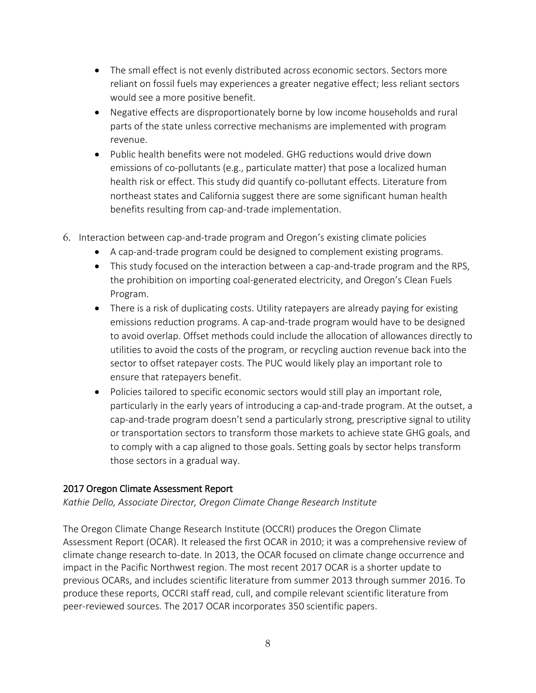- The small effect is not evenly distributed across economic sectors. Sectors more reliant on fossil fuels may experiences a greater negative effect; less reliant sectors would see a more positive benefit.
- Negative effects are disproportionately borne by low income households and rural parts of the state unless corrective mechanisms are implemented with program revenue.
- Public health benefits were not modeled. GHG reductions would drive down emissions of co-pollutants (e.g., particulate matter) that pose a localized human health risk or effect. This study did quantify co-pollutant effects. Literature from northeast states and California suggest there are some significant human health benefits resulting from cap-and-trade implementation.
- 6. Interaction between cap-and-trade program and Oregon's existing climate policies
	- A cap-and-trade program could be designed to complement existing programs.
	- This study focused on the interaction between a cap-and-trade program and the RPS, the prohibition on importing coal-generated electricity, and Oregon's Clean Fuels Program.
	- There is a risk of duplicating costs. Utility ratepayers are already paying for existing emissions reduction programs. A cap-and-trade program would have to be designed to avoid overlap. Offset methods could include the allocation of allowances directly to utilities to avoid the costs of the program, or recycling auction revenue back into the sector to offset ratepayer costs. The PUC would likely play an important role to ensure that ratepayers benefit.
	- Policies tailored to specific economic sectors would still play an important role, particularly in the early years of introducing a cap-and-trade program. At the outset, a cap-and-trade program doesn't send a particularly strong, prescriptive signal to utility or transportation sectors to transform those markets to achieve state GHG goals, and to comply with a cap aligned to those goals. Setting goals by sector helps transform those sectors in a gradual way.

#### 2017 Oregon Climate Assessment Report

*Kathie Dello, Associate Director, Oregon Climate Change Research Institute*

The Oregon Climate Change Research Institute (OCCRI) produces the Oregon Climate Assessment Report (OCAR). It released the first OCAR in 2010; it was a comprehensive review of climate change research to-date. In 2013, the OCAR focused on climate change occurrence and impact in the Pacific Northwest region. The most recent 2017 OCAR is a shorter update to previous OCARs, and includes scientific literature from summer 2013 through summer 2016. To produce these reports, OCCRI staff read, cull, and compile relevant scientific literature from peer-reviewed sources. The 2017 OCAR incorporates 350 scientific papers.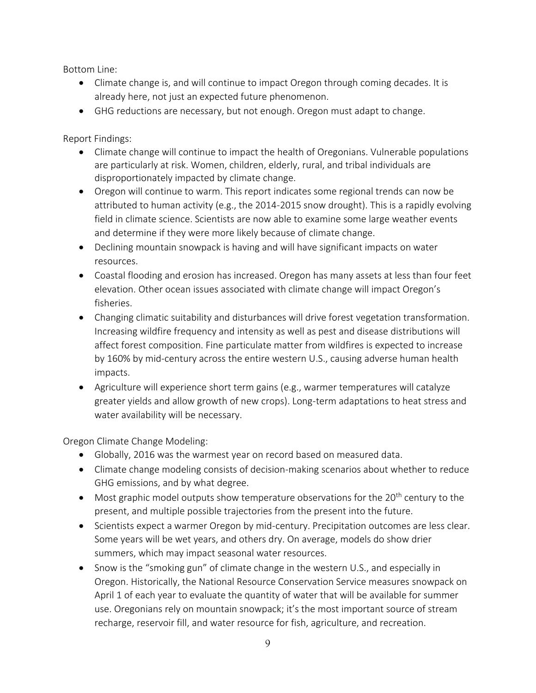Bottom Line:

- Climate change is, and will continue to impact Oregon through coming decades. It is already here, not just an expected future phenomenon.
- GHG reductions are necessary, but not enough. Oregon must adapt to change.

Report Findings:

- Climate change will continue to impact the health of Oregonians. Vulnerable populations are particularly at risk. Women, children, elderly, rural, and tribal individuals are disproportionately impacted by climate change.
- Oregon will continue to warm. This report indicates some regional trends can now be attributed to human activity (e.g., the 2014-2015 snow drought). This is a rapidly evolving field in climate science. Scientists are now able to examine some large weather events and determine if they were more likely because of climate change.
- Declining mountain snowpack is having and will have significant impacts on water resources.
- Coastal flooding and erosion has increased. Oregon has many assets at less than four feet elevation. Other ocean issues associated with climate change will impact Oregon's fisheries.
- Changing climatic suitability and disturbances will drive forest vegetation transformation. Increasing wildfire frequency and intensity as well as pest and disease distributions will affect forest composition. Fine particulate matter from wildfires is expected to increase by 160% by mid-century across the entire western U.S., causing adverse human health impacts.
- Agriculture will experience short term gains (e.g., warmer temperatures will catalyze greater yields and allow growth of new crops). Long-term adaptations to heat stress and water availability will be necessary.

Oregon Climate Change Modeling:

- Globally, 2016 was the warmest year on record based on measured data.
- Climate change modeling consists of decision-making scenarios about whether to reduce GHG emissions, and by what degree.
- $\bullet$  Most graphic model outputs show temperature observations for the 20<sup>th</sup> century to the present, and multiple possible trajectories from the present into the future.
- Scientists expect a warmer Oregon by mid-century. Precipitation outcomes are less clear. Some years will be wet years, and others dry. On average, models do show drier summers, which may impact seasonal water resources.
- Snow is the "smoking gun" of climate change in the western U.S., and especially in Oregon. Historically, the National Resource Conservation Service measures snowpack on April 1 of each year to evaluate the quantity of water that will be available for summer use. Oregonians rely on mountain snowpack; it's the most important source of stream recharge, reservoir fill, and water resource for fish, agriculture, and recreation.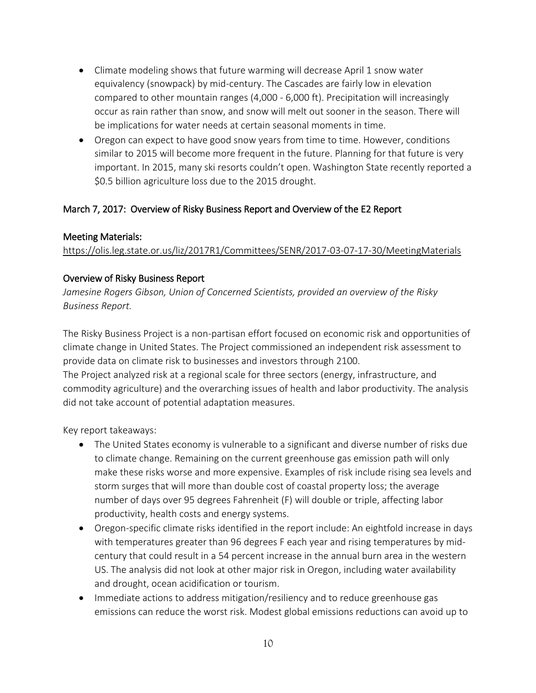- Climate modeling shows that future warming will decrease April 1 snow water equivalency (snowpack) by mid-century. The Cascades are fairly low in elevation compared to other mountain ranges (4,000 - 6,000 ft). Precipitation will increasingly occur as rain rather than snow, and snow will melt out sooner in the season. There will be implications for water needs at certain seasonal moments in time.
- Oregon can expect to have good snow years from time to time. However, conditions similar to 2015 will become more frequent in the future. Planning for that future is very important. In 2015, many ski resorts couldn't open. Washington State recently reported a \$0.5 billion agriculture loss due to the 2015 drought.

## March 7, 2017: Overview of Risky Business Report and Overview of the E2 Report

## Meeting Materials:

<https://olis.leg.state.or.us/liz/2017R1/Committees/SENR/2017-03-07-17-30/MeetingMaterials>

## Overview of Risky Business Report

*Jamesine Rogers Gibson, Union of Concerned Scientists, provided an overview of the Risky Business Report.*

The Risky Business Project is a non-partisan effort focused on economic risk and opportunities of climate change in United States. The Project commissioned an independent risk assessment to provide data on climate risk to businesses and investors through 2100.

The Project analyzed risk at a regional scale for three sectors (energy, infrastructure, and commodity agriculture) and the overarching issues of health and labor productivity. The analysis did not take account of potential adaptation measures.

Key report takeaways:

- The United States economy is vulnerable to a significant and diverse number of risks due to climate change. Remaining on the current greenhouse gas emission path will only make these risks worse and more expensive. Examples of risk include rising sea levels and storm surges that will more than double cost of coastal property loss; the average number of days over 95 degrees Fahrenheit (F) will double or triple, affecting labor productivity, health costs and energy systems.
- Oregon-specific climate risks identified in the report include: An eightfold increase in days with temperatures greater than 96 degrees F each year and rising temperatures by midcentury that could result in a 54 percent increase in the annual burn area in the western US. The analysis did not look at other major risk in Oregon, including water availability and drought, ocean acidification or tourism.
- Immediate actions to address mitigation/resiliency and to reduce greenhouse gas emissions can reduce the worst risk. Modest global emissions reductions can avoid up to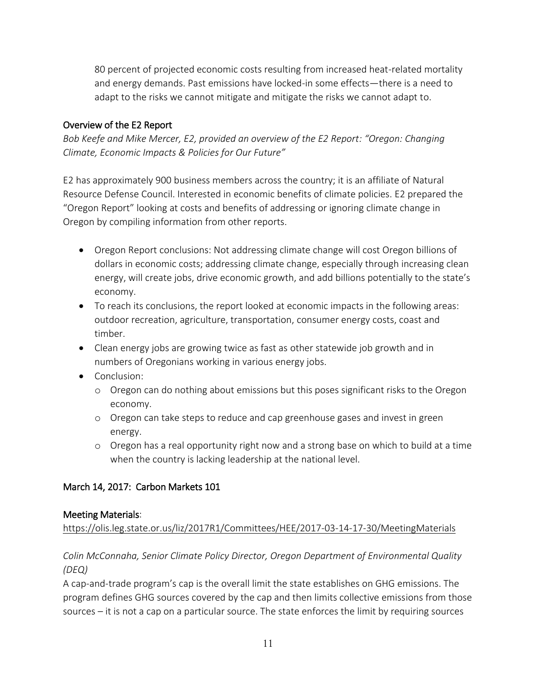80 percent of projected economic costs resulting from increased heat-related mortality and energy demands. Past emissions have locked-in some effects—there is a need to adapt to the risks we cannot mitigate and mitigate the risks we cannot adapt to.

## Overview of the E2 Report

*Bob Keefe and Mike Mercer, E2, provided an overview of the E2 Report: "Oregon: Changing Climate, Economic Impacts & Policies for Our Future"*

E2 has approximately 900 business members across the country; it is an affiliate of Natural Resource Defense Council. Interested in economic benefits of climate policies. E2 prepared the "Oregon Report" looking at costs and benefits of addressing or ignoring climate change in Oregon by compiling information from other reports.

- Oregon Report conclusions: Not addressing climate change will cost Oregon billions of dollars in economic costs; addressing climate change, especially through increasing clean energy, will create jobs, drive economic growth, and add billions potentially to the state's economy.
- To reach its conclusions, the report looked at economic impacts in the following areas: outdoor recreation, agriculture, transportation, consumer energy costs, coast and timber.
- Clean energy jobs are growing twice as fast as other statewide job growth and in numbers of Oregonians working in various energy jobs.
- Conclusion:
	- o Oregon can do nothing about emissions but this poses significant risks to the Oregon economy.
	- o Oregon can take steps to reduce and cap greenhouse gases and invest in green energy.
	- o Oregon has a real opportunity right now and a strong base on which to build at a time when the country is lacking leadership at the national level.

# March 14, 2017: Carbon Markets 101

## Meeting Materials:

<https://olis.leg.state.or.us/liz/2017R1/Committees/HEE/2017-03-14-17-30/MeetingMaterials>

## *Colin McConnaha, Senior Climate Policy Director, Oregon Department of Environmental Quality (DEQ)*

A cap-and-trade program's cap is the overall limit the state establishes on GHG emissions. The program defines GHG sources covered by the cap and then limits collective emissions from those sources – it is not a cap on a particular source. The state enforces the limit by requiring sources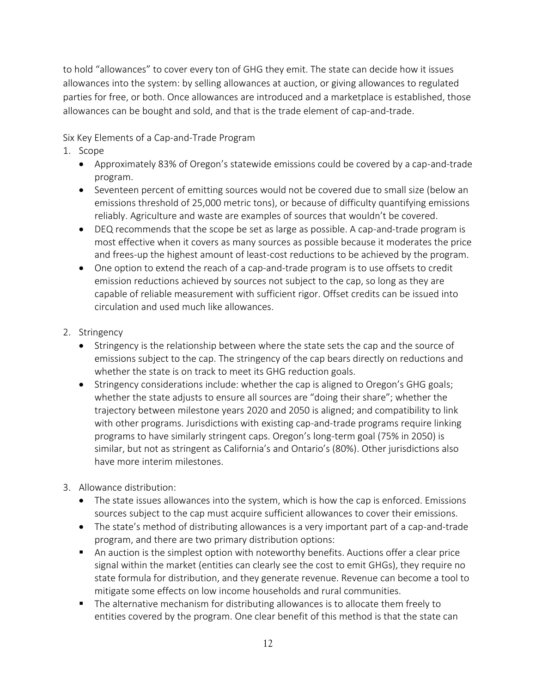to hold "allowances" to cover every ton of GHG they emit. The state can decide how it issues allowances into the system: by selling allowances at auction, or giving allowances to regulated parties for free, or both. Once allowances are introduced and a marketplace is established, those allowances can be bought and sold, and that is the trade element of cap-and-trade.

Six Key Elements of a Cap-and-Trade Program

- 1. Scope
	- Approximately 83% of Oregon's statewide emissions could be covered by a cap-and-trade program.
	- Seventeen percent of emitting sources would not be covered due to small size (below an emissions threshold of 25,000 metric tons), or because of difficulty quantifying emissions reliably. Agriculture and waste are examples of sources that wouldn't be covered.
	- DEQ recommends that the scope be set as large as possible. A cap-and-trade program is most effective when it covers as many sources as possible because it moderates the price and frees-up the highest amount of least-cost reductions to be achieved by the program.
	- One option to extend the reach of a cap-and-trade program is to use offsets to credit emission reductions achieved by sources not subject to the cap, so long as they are capable of reliable measurement with sufficient rigor. Offset credits can be issued into circulation and used much like allowances.
- 2. Stringency
	- Stringency is the relationship between where the state sets the cap and the source of emissions subject to the cap. The stringency of the cap bears directly on reductions and whether the state is on track to meet its GHG reduction goals.
	- Stringency considerations include: whether the cap is aligned to Oregon's GHG goals; whether the state adjusts to ensure all sources are "doing their share"; whether the trajectory between milestone years 2020 and 2050 is aligned; and compatibility to link with other programs. Jurisdictions with existing cap-and-trade programs require linking programs to have similarly stringent caps. Oregon's long-term goal (75% in 2050) is similar, but not as stringent as California's and Ontario's (80%). Other jurisdictions also have more interim milestones.
- 3. Allowance distribution:
	- The state issues allowances into the system, which is how the cap is enforced. Emissions sources subject to the cap must acquire sufficient allowances to cover their emissions.
	- The state's method of distributing allowances is a very important part of a cap-and-trade program, and there are two primary distribution options:
	- An auction is the simplest option with noteworthy benefits. Auctions offer a clear price signal within the market (entities can clearly see the cost to emit GHGs), they require no state formula for distribution, and they generate revenue. Revenue can become a tool to mitigate some effects on low income households and rural communities.
	- **The alternative mechanism for distributing allowances is to allocate them freely to** entities covered by the program. One clear benefit of this method is that the state can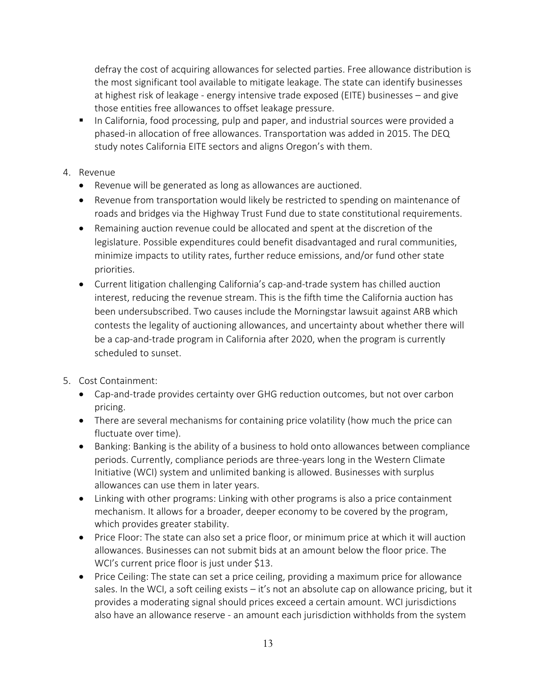defray the cost of acquiring allowances for selected parties. Free allowance distribution is the most significant tool available to mitigate leakage. The state can identify businesses at highest risk of leakage - energy intensive trade exposed (EITE) businesses – and give those entities free allowances to offset leakage pressure.

In California, food processing, pulp and paper, and industrial sources were provided a phased-in allocation of free allowances. Transportation was added in 2015. The DEQ study notes California EITE sectors and aligns Oregon's with them.

### 4. Revenue

- Revenue will be generated as long as allowances are auctioned.
- Revenue from transportation would likely be restricted to spending on maintenance of roads and bridges via the Highway Trust Fund due to state constitutional requirements.
- Remaining auction revenue could be allocated and spent at the discretion of the legislature. Possible expenditures could benefit disadvantaged and rural communities, minimize impacts to utility rates, further reduce emissions, and/or fund other state priorities.
- Current litigation challenging California's cap-and-trade system has chilled auction interest, reducing the revenue stream. This is the fifth time the California auction has been undersubscribed. Two causes include the Morningstar lawsuit against ARB which contests the legality of auctioning allowances, and uncertainty about whether there will be a cap-and-trade program in California after 2020, when the program is currently scheduled to sunset.
- 5. Cost Containment:
	- Cap-and-trade provides certainty over GHG reduction outcomes, but not over carbon pricing.
	- There are several mechanisms for containing price volatility (how much the price can fluctuate over time).
	- Banking: Banking is the ability of a business to hold onto allowances between compliance periods. Currently, compliance periods are three-years long in the Western Climate Initiative (WCI) system and unlimited banking is allowed. Businesses with surplus allowances can use them in later years.
	- Linking with other programs: Linking with other programs is also a price containment mechanism. It allows for a broader, deeper economy to be covered by the program, which provides greater stability.
	- Price Floor: The state can also set a price floor, or minimum price at which it will auction allowances. Businesses can not submit bids at an amount below the floor price. The WCI's current price floor is just under \$13.
	- Price Ceiling: The state can set a price ceiling, providing a maximum price for allowance sales. In the WCI, a soft ceiling exists – it's not an absolute cap on allowance pricing, but it provides a moderating signal should prices exceed a certain amount. WCI jurisdictions also have an allowance reserve - an amount each jurisdiction withholds from the system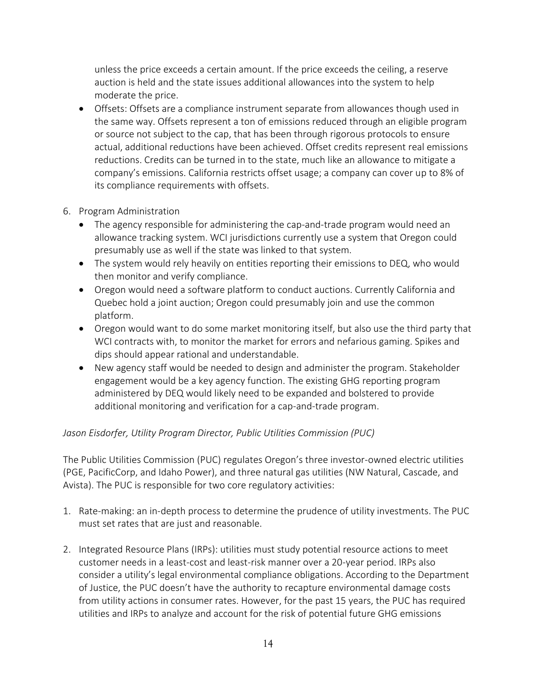unless the price exceeds a certain amount. If the price exceeds the ceiling, a reserve auction is held and the state issues additional allowances into the system to help moderate the price.

- Offsets: Offsets are a compliance instrument separate from allowances though used in the same way. Offsets represent a ton of emissions reduced through an eligible program or source not subject to the cap, that has been through rigorous protocols to ensure actual, additional reductions have been achieved. Offset credits represent real emissions reductions. Credits can be turned in to the state, much like an allowance to mitigate a company's emissions. California restricts offset usage; a company can cover up to 8% of its compliance requirements with offsets.
- 6. Program Administration
	- The agency responsible for administering the cap-and-trade program would need an allowance tracking system. WCI jurisdictions currently use a system that Oregon could presumably use as well if the state was linked to that system.
	- The system would rely heavily on entities reporting their emissions to DEQ, who would then monitor and verify compliance.
	- Oregon would need a software platform to conduct auctions. Currently California and Quebec hold a joint auction; Oregon could presumably join and use the common platform.
	- Oregon would want to do some market monitoring itself, but also use the third party that WCI contracts with, to monitor the market for errors and nefarious gaming. Spikes and dips should appear rational and understandable.
	- New agency staff would be needed to design and administer the program. Stakeholder engagement would be a key agency function. The existing GHG reporting program administered by DEQ would likely need to be expanded and bolstered to provide additional monitoring and verification for a cap-and-trade program.

## *Jason Eisdorfer, Utility Program Director, Public Utilities Commission (PUC)*

The Public Utilities Commission (PUC) regulates Oregon's three investor-owned electric utilities (PGE, PacificCorp, and Idaho Power), and three natural gas utilities (NW Natural, Cascade, and Avista). The PUC is responsible for two core regulatory activities:

- 1. Rate-making: an in-depth process to determine the prudence of utility investments. The PUC must set rates that are just and reasonable.
- 2. Integrated Resource Plans (IRPs): utilities must study potential resource actions to meet customer needs in a least-cost and least-risk manner over a 20-year period. IRPs also consider a utility's legal environmental compliance obligations. According to the Department of Justice, the PUC doesn't have the authority to recapture environmental damage costs from utility actions in consumer rates. However, for the past 15 years, the PUC has required utilities and IRPs to analyze and account for the risk of potential future GHG emissions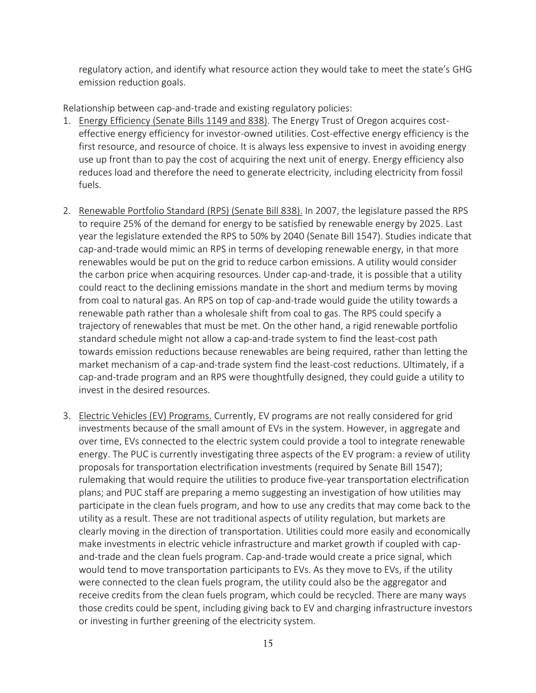regulatory action, and identify what resource action they would take to meet the state's GHG emission reduction goals.

Relationship between cap-and-trade and existing regulatory policies:

- 1. Energy Efficiency (Senate Bills 1149 and 838). The Energy Trust of Oregon acquires costeffective energy efficiency for investor-owned utilities. Cost-effective energy efficiency is the first resource, and resource of choice. It is always less expensive to invest in avoiding energy use up front than to pay the cost of acquiring the next unit of energy. Energy efficiency also reduces load and therefore the need to generate electricity, including electricity from fossil fuels.
- 2. Renewable Portfolio Standard (RPS) (Senate Bill 838). In 2007, the legislature passed the RPS to require 25% of the demand for energy to be satisfied by renewable energy by 2025. Last year the legislature extended the RPS to 50% by 2040 (Senate Bill 1547). Studies indicate that cap-and-trade would mimic an RPS in terms of developing renewable energy, in that more renewables would be put on the grid to reduce carbon emissions. A utility would consider the carbon price when acquiring resources. Under cap-and-trade, it is possible that a utility could react to the declining emissions mandate in the short and medium terms by moving from coal to natural gas. An RPS on top of cap-and-trade would guide the utility towards a renewable path rather than a wholesale shift from coal to gas. The RPS could specify a trajectory of renewables that must be met. On the other hand, a rigid renewable portfolio standard schedule might not allow a cap-and-trade system to find the least-cost path towards emission reductions because renewables are being required, rather than letting the market mechanism of a cap-and-trade system find the least-cost reductions. Ultimately, if a cap-and-trade program and an RPS were thoughtfully designed, they could guide a utility to invest in the desired resources.
- 3. Electric Vehicles (EV) Programs. Currently, EV programs are not really considered for grid investments because of the small amount of EVs in the system. However, in aggregate and over time, EVs connected to the electric system could provide a tool to integrate renewable energy. The PUC is currently investigating three aspects of the EV program: a review of utility proposals for transportation electrification investments (required by Senate Bill 1547); rulemaking that would require the utilities to produce five-year transportation electrification plans; and PUC staff are preparing a memo suggesting an investigation of how utilities may participate in the clean fuels program, and how to use any credits that may come back to the utility as a result. These are not traditional aspects of utility regulation, but markets are clearly moving in the direction of transportation. Utilities could more easily and economically make investments in electric vehicle infrastructure and market growth if coupled with capand-trade and the clean fuels program. Cap-and-trade would create a price signal, which would tend to move transportation participants to EVs. As they move to EVs, if the utility were connected to the clean fuels program, the utility could also be the aggregator and receive credits from the clean fuels program, which could be recycled. There are many ways those credits could be spent, including giving back to EV and charging infrastructure investors or investing in further greening of the electricity system.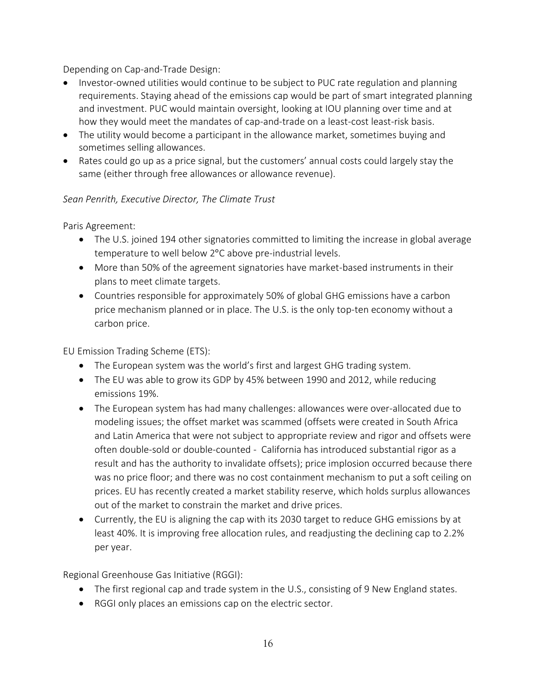Depending on Cap-and-Trade Design:

- Investor-owned utilities would continue to be subject to PUC rate regulation and planning requirements. Staying ahead of the emissions cap would be part of smart integrated planning and investment. PUC would maintain oversight, looking at IOU planning over time and at how they would meet the mandates of cap-and-trade on a least-cost least-risk basis.
- The utility would become a participant in the allowance market, sometimes buying and sometimes selling allowances.
- Rates could go up as a price signal, but the customers' annual costs could largely stay the same (either through free allowances or allowance revenue).

## *Sean Penrith, Executive Director, The Climate Trust*

Paris Agreement:

- The U.S. joined 194 other signatories committed to limiting the increase in global average temperature to well below 2°C above pre-industrial levels.
- More than 50% of the agreement signatories have market-based instruments in their plans to meet climate targets.
- Countries responsible for approximately 50% of global GHG emissions have a carbon price mechanism planned or in place. The U.S. is the only top-ten economy without a carbon price.

EU Emission Trading Scheme (ETS):

- The European system was the world's first and largest GHG trading system.
- The EU was able to grow its GDP by 45% between 1990 and 2012, while reducing emissions 19%.
- The European system has had many challenges: allowances were over-allocated due to modeling issues; the offset market was scammed (offsets were created in South Africa and Latin America that were not subject to appropriate review and rigor and offsets were often double-sold or double-counted - California has introduced substantial rigor as a result and has the authority to invalidate offsets); price implosion occurred because there was no price floor; and there was no cost containment mechanism to put a soft ceiling on prices. EU has recently created a market stability reserve, which holds surplus allowances out of the market to constrain the market and drive prices.
- Currently, the EU is aligning the cap with its 2030 target to reduce GHG emissions by at least 40%. It is improving free allocation rules, and readjusting the declining cap to 2.2% per year.

Regional Greenhouse Gas Initiative (RGGI):

- The first regional cap and trade system in the U.S., consisting of 9 New England states.
- RGGI only places an emissions cap on the electric sector.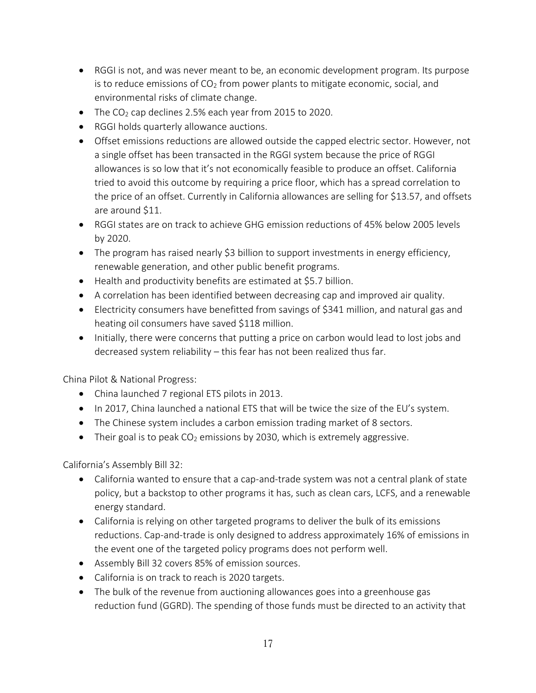- RGGI is not, and was never meant to be, an economic development program. Its purpose is to reduce emissions of  $CO<sub>2</sub>$  from power plants to mitigate economic, social, and environmental risks of climate change.
- The  $CO<sub>2</sub>$  cap declines 2.5% each year from 2015 to 2020.
- RGGI holds quarterly allowance auctions.
- Offset emissions reductions are allowed outside the capped electric sector. However, not a single offset has been transacted in the RGGI system because the price of RGGI allowances is so low that it's not economically feasible to produce an offset. California tried to avoid this outcome by requiring a price floor, which has a spread correlation to the price of an offset. Currently in California allowances are selling for \$13.57, and offsets are around \$11.
- RGGI states are on track to achieve GHG emission reductions of 45% below 2005 levels by 2020.
- The program has raised nearly \$3 billion to support investments in energy efficiency, renewable generation, and other public benefit programs.
- Health and productivity benefits are estimated at \$5.7 billion.
- A correlation has been identified between decreasing cap and improved air quality.
- Electricity consumers have benefitted from savings of \$341 million, and natural gas and heating oil consumers have saved \$118 million.
- Initially, there were concerns that putting a price on carbon would lead to lost jobs and decreased system reliability – this fear has not been realized thus far.

China Pilot & National Progress:

- China launched 7 regional ETS pilots in 2013.
- In 2017, China launched a national ETS that will be twice the size of the EU's system.
- The Chinese system includes a carbon emission trading market of 8 sectors.
- Their goal is to peak  $CO<sub>2</sub>$  emissions by 2030, which is extremely aggressive.

California's Assembly Bill 32:

- California wanted to ensure that a cap-and-trade system was not a central plank of state policy, but a backstop to other programs it has, such as clean cars, LCFS, and a renewable energy standard.
- California is relying on other targeted programs to deliver the bulk of its emissions reductions. Cap-and-trade is only designed to address approximately 16% of emissions in the event one of the targeted policy programs does not perform well.
- Assembly Bill 32 covers 85% of emission sources.
- California is on track to reach is 2020 targets.
- The bulk of the revenue from auctioning allowances goes into a greenhouse gas reduction fund (GGRD). The spending of those funds must be directed to an activity that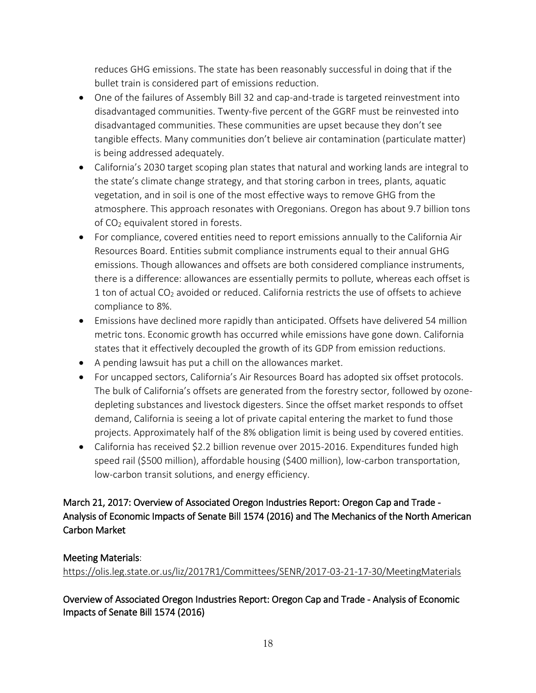reduces GHG emissions. The state has been reasonably successful in doing that if the bullet train is considered part of emissions reduction.

- One of the failures of Assembly Bill 32 and cap-and-trade is targeted reinvestment into disadvantaged communities. Twenty-five percent of the GGRF must be reinvested into disadvantaged communities. These communities are upset because they don't see tangible effects. Many communities don't believe air contamination (particulate matter) is being addressed adequately.
- California's 2030 target scoping plan states that natural and working lands are integral to the state's climate change strategy, and that storing carbon in trees, plants, aquatic vegetation, and in soil is one of the most effective ways to remove GHG from the atmosphere. This approach resonates with Oregonians. Oregon has about 9.7 billion tons of  $CO<sub>2</sub>$  equivalent stored in forests.
- For compliance, covered entities need to report emissions annually to the California Air Resources Board. Entities submit compliance instruments equal to their annual GHG emissions. Though allowances and offsets are both considered compliance instruments, there is a difference: allowances are essentially permits to pollute, whereas each offset is 1 ton of actual  $CO<sub>2</sub>$  avoided or reduced. California restricts the use of offsets to achieve compliance to 8%.
- Emissions have declined more rapidly than anticipated. Offsets have delivered 54 million metric tons. Economic growth has occurred while emissions have gone down. California states that it effectively decoupled the growth of its GDP from emission reductions.
- A pending lawsuit has put a chill on the allowances market.
- For uncapped sectors, California's Air Resources Board has adopted six offset protocols. The bulk of California's offsets are generated from the forestry sector, followed by ozonedepleting substances and livestock digesters. Since the offset market responds to offset demand, California is seeing a lot of private capital entering the market to fund those projects. Approximately half of the 8% obligation limit is being used by covered entities.
- California has received \$2.2 billion revenue over 2015-2016. Expenditures funded high speed rail (\$500 million), affordable housing (\$400 million), low-carbon transportation, low-carbon transit solutions, and energy efficiency.

## March 21, 2017: Overview of Associated Oregon Industries Report: Oregon Cap and Trade - Analysis of Economic Impacts of Senate Bill 1574 (2016) and The Mechanics of the North American Carbon Market

## Meeting Materials:

<https://olis.leg.state.or.us/liz/2017R1/Committees/SENR/2017-03-21-17-30/MeetingMaterials>

## Overview of Associated Oregon Industries Report: Oregon Cap and Trade - Analysis of Economic Impacts of Senate Bill 1574 (2016)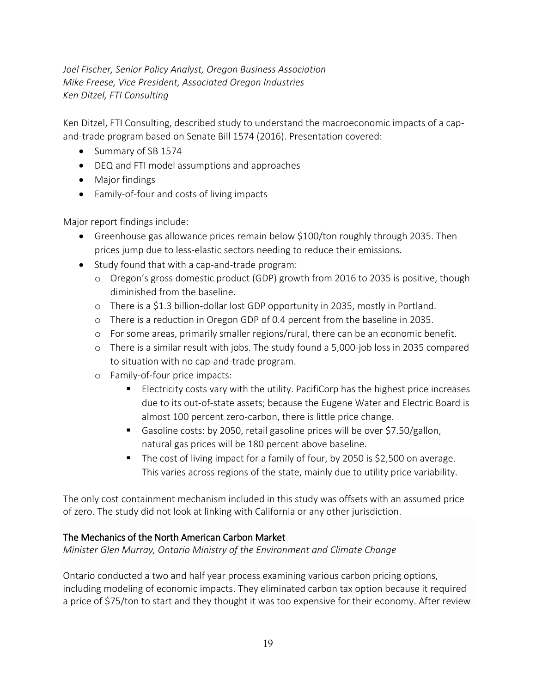*Joel Fischer, Senior Policy Analyst, Oregon Business Association Mike Freese, Vice President, Associated Oregon Industries Ken Ditzel, FTI Consulting*

Ken Ditzel, FTI Consulting, described study to understand the macroeconomic impacts of a capand-trade program based on Senate Bill 1574 (2016). Presentation covered:

- Summary of SB 1574
- DEQ and FTI model assumptions and approaches
- Major findings
- Family-of-four and costs of living impacts

Major report findings include:

- Greenhouse gas allowance prices remain below \$100/ton roughly through 2035. Then prices jump due to less-elastic sectors needing to reduce their emissions.
- Study found that with a cap-and-trade program:
	- o Oregon's gross domestic product (GDP) growth from 2016 to 2035 is positive, though diminished from the baseline.
	- o There is a \$1.3 billion-dollar lost GDP opportunity in 2035, mostly in Portland.
	- o There is a reduction in Oregon GDP of 0.4 percent from the baseline in 2035.
	- o For some areas, primarily smaller regions/rural, there can be an economic benefit.
	- o There is a similar result with jobs. The study found a 5,000-job loss in 2035 compared to situation with no cap-and-trade program.
	- o Family-of-four price impacts:
		- **ELECTRICITY COSTS VARY WITH THE UTILY AND THE CORPORT FOR INCORDING FIGURE INCLES** due to its out-of-state assets; because the Eugene Water and Electric Board is almost 100 percent zero-carbon, there is little price change.
		- Gasoline costs: by 2050, retail gasoline prices will be over \$7.50/gallon, natural gas prices will be 180 percent above baseline.
		- The cost of living impact for a family of four, by 2050 is \$2,500 on average. This varies across regions of the state, mainly due to utility price variability.

The only cost containment mechanism included in this study was offsets with an assumed price of zero. The study did not look at linking with California or any other jurisdiction.

#### The Mechanics of the North American Carbon Market

*Minister Glen Murray, Ontario Ministry of the Environment and Climate Change*

Ontario conducted a two and half year process examining various carbon pricing options, including modeling of economic impacts. They eliminated carbon tax option because it required a price of \$75/ton to start and they thought it was too expensive for their economy. After review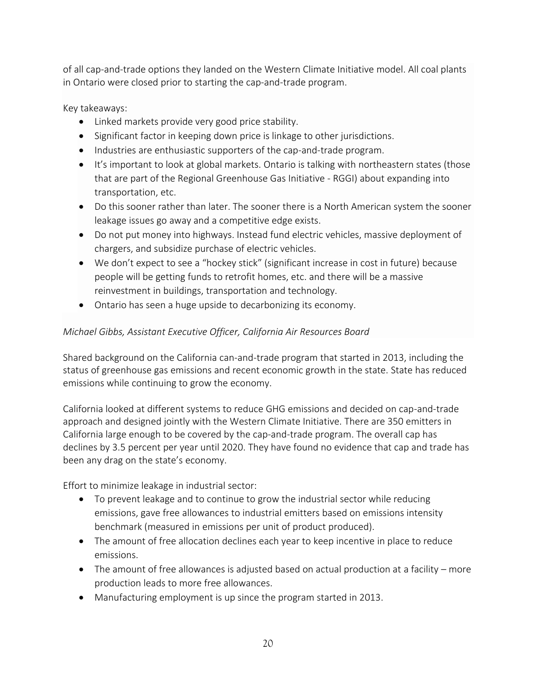of all cap-and-trade options they landed on the Western Climate Initiative model. All coal plants in Ontario were closed prior to starting the cap-and-trade program.

Key takeaways:

- Linked markets provide very good price stability.
- Significant factor in keeping down price is linkage to other jurisdictions.
- Industries are enthusiastic supporters of the cap-and-trade program.
- It's important to look at global markets. Ontario is talking with northeastern states (those that are part of the Regional Greenhouse Gas Initiative - RGGI) about expanding into transportation, etc.
- Do this sooner rather than later. The sooner there is a North American system the sooner leakage issues go away and a competitive edge exists.
- Do not put money into highways. Instead fund electric vehicles, massive deployment of chargers, and subsidize purchase of electric vehicles.
- We don't expect to see a "hockey stick" (significant increase in cost in future) because people will be getting funds to retrofit homes, etc. and there will be a massive reinvestment in buildings, transportation and technology.
- Ontario has seen a huge upside to decarbonizing its economy.

## *Michael Gibbs, Assistant Executive Officer, California Air Resources Board*

Shared background on the California can-and-trade program that started in 2013, including the status of greenhouse gas emissions and recent economic growth in the state. State has reduced emissions while continuing to grow the economy.

California looked at different systems to reduce GHG emissions and decided on cap-and-trade approach and designed jointly with the Western Climate Initiative. There are 350 emitters in California large enough to be covered by the cap-and-trade program. The overall cap has declines by 3.5 percent per year until 2020. They have found no evidence that cap and trade has been any drag on the state's economy.

Effort to minimize leakage in industrial sector:

- To prevent leakage and to continue to grow the industrial sector while reducing emissions, gave free allowances to industrial emitters based on emissions intensity benchmark (measured in emissions per unit of product produced).
- The amount of free allocation declines each year to keep incentive in place to reduce emissions.
- The amount of free allowances is adjusted based on actual production at a facility more production leads to more free allowances.
- Manufacturing employment is up since the program started in 2013.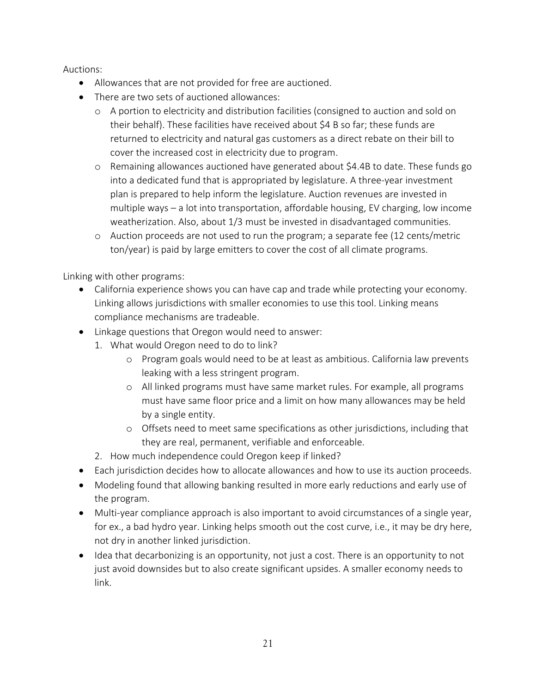Auctions:

- Allowances that are not provided for free are auctioned.
- There are two sets of auctioned allowances:
	- o A portion to electricity and distribution facilities (consigned to auction and sold on their behalf). These facilities have received about \$4 B so far; these funds are returned to electricity and natural gas customers as a direct rebate on their bill to cover the increased cost in electricity due to program.
	- o Remaining allowances auctioned have generated about \$4.4B to date. These funds go into a dedicated fund that is appropriated by legislature. A three-year investment plan is prepared to help inform the legislature. Auction revenues are invested in multiple ways – a lot into transportation, affordable housing, EV charging, low income weatherization. Also, about 1/3 must be invested in disadvantaged communities.
	- o Auction proceeds are not used to run the program; a separate fee (12 cents/metric ton/year) is paid by large emitters to cover the cost of all climate programs.

Linking with other programs:

- California experience shows you can have cap and trade while protecting your economy. Linking allows jurisdictions with smaller economies to use this tool. Linking means compliance mechanisms are tradeable.
- Linkage questions that Oregon would need to answer:
	- 1. What would Oregon need to do to link?
		- o Program goals would need to be at least as ambitious. California law prevents leaking with a less stringent program.
		- o All linked programs must have same market rules. For example, all programs must have same floor price and a limit on how many allowances may be held by a single entity.
		- o Offsets need to meet same specifications as other jurisdictions, including that they are real, permanent, verifiable and enforceable.
	- 2. How much independence could Oregon keep if linked?
- Each jurisdiction decides how to allocate allowances and how to use its auction proceeds.
- Modeling found that allowing banking resulted in more early reductions and early use of the program.
- Multi-year compliance approach is also important to avoid circumstances of a single year, for ex., a bad hydro year. Linking helps smooth out the cost curve, i.e., it may be dry here, not dry in another linked jurisdiction.
- Idea that decarbonizing is an opportunity, not just a cost. There is an opportunity to not just avoid downsides but to also create significant upsides. A smaller economy needs to link.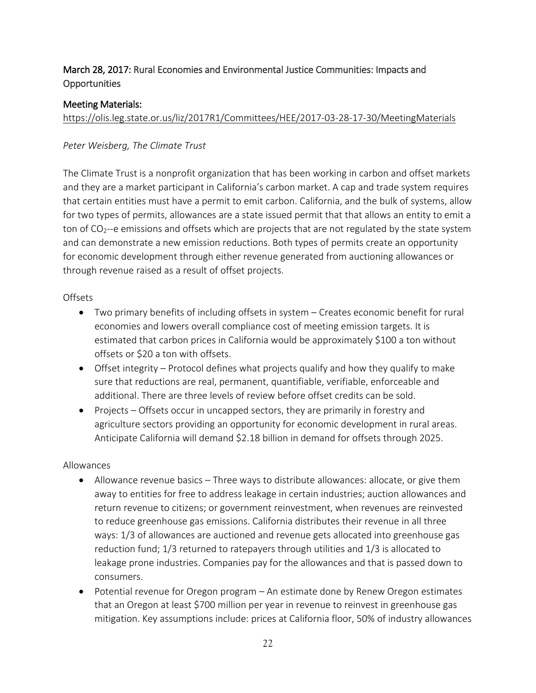## March 28, 2017: Rural Economies and Environmental Justice Communities: Impacts and **Opportunities**

#### Meeting Materials:

<https://olis.leg.state.or.us/liz/2017R1/Committees/HEE/2017-03-28-17-30/MeetingMaterials>

#### *Peter Weisberg, The Climate Trust*

The Climate Trust is a nonprofit organization that has been working in carbon and offset markets and they are a market participant in California's carbon market. A cap and trade system requires that certain entities must have a permit to emit carbon. California, and the bulk of systems, allow for two types of permits, allowances are a state issued permit that that allows an entity to emit a ton of  $CO<sub>2</sub>$ --e emissions and offsets which are projects that are not regulated by the state system and can demonstrate a new emission reductions. Both types of permits create an opportunity for economic development through either revenue generated from auctioning allowances or through revenue raised as a result of offset projects.

#### **Offsets**

- Two primary benefits of including offsets in system Creates economic benefit for rural economies and lowers overall compliance cost of meeting emission targets. It is estimated that carbon prices in California would be approximately \$100 a ton without offsets or \$20 a ton with offsets.
- Offset integrity Protocol defines what projects qualify and how they qualify to make sure that reductions are real, permanent, quantifiable, verifiable, enforceable and additional. There are three levels of review before offset credits can be sold.
- Projects Offsets occur in uncapped sectors, they are primarily in forestry and agriculture sectors providing an opportunity for economic development in rural areas. Anticipate California will demand \$2.18 billion in demand for offsets through 2025.

#### Allowances

- Allowance revenue basics Three ways to distribute allowances: allocate, or give them away to entities for free to address leakage in certain industries; auction allowances and return revenue to citizens; or government reinvestment, when revenues are reinvested to reduce greenhouse gas emissions. California distributes their revenue in all three ways: 1/3 of allowances are auctioned and revenue gets allocated into greenhouse gas reduction fund; 1/3 returned to ratepayers through utilities and 1/3 is allocated to leakage prone industries. Companies pay for the allowances and that is passed down to consumers.
- Potential revenue for Oregon program An estimate done by Renew Oregon estimates that an Oregon at least \$700 million per year in revenue to reinvest in greenhouse gas mitigation. Key assumptions include: prices at California floor, 50% of industry allowances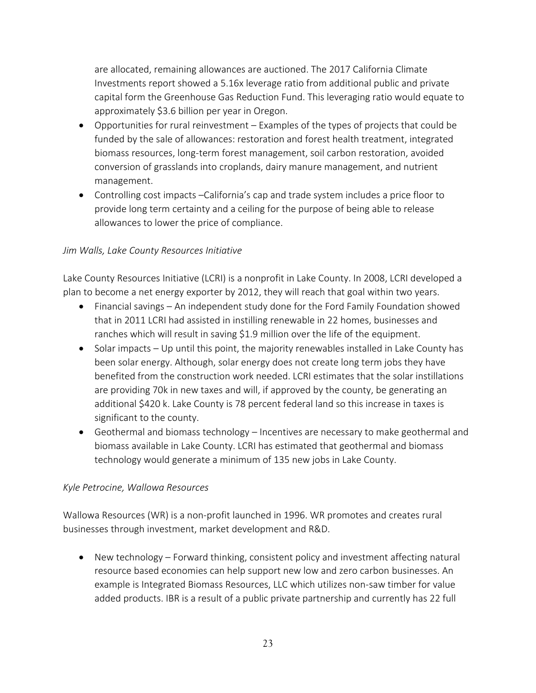are allocated, remaining allowances are auctioned. The 2017 California Climate Investments report showed a 5.16x leverage ratio from additional public and private capital form the Greenhouse Gas Reduction Fund. This leveraging ratio would equate to approximately \$3.6 billion per year in Oregon.

- Opportunities for rural reinvestment Examples of the types of projects that could be funded by the sale of allowances: restoration and forest health treatment, integrated biomass resources, long-term forest management, soil carbon restoration, avoided conversion of grasslands into croplands, dairy manure management, and nutrient management.
- Controlling cost impacts –California's cap and trade system includes a price floor to provide long term certainty and a ceiling for the purpose of being able to release allowances to lower the price of compliance.

### *Jim Walls, Lake County Resources Initiative*

Lake County Resources Initiative (LCRI) is a nonprofit in Lake County. In 2008, LCRI developed a plan to become a net energy exporter by 2012, they will reach that goal within two years.

- Financial savings An independent study done for the Ford Family Foundation showed that in 2011 LCRI had assisted in instilling renewable in 22 homes, businesses and ranches which will result in saving \$1.9 million over the life of the equipment.
- Solar impacts Up until this point, the majority renewables installed in Lake County has been solar energy. Although, solar energy does not create long term jobs they have benefited from the construction work needed. LCRI estimates that the solar instillations are providing 70k in new taxes and will, if approved by the county, be generating an additional \$420 k. Lake County is 78 percent federal land so this increase in taxes is significant to the county.
- Geothermal and biomass technology Incentives are necessary to make geothermal and biomass available in Lake County. LCRI has estimated that geothermal and biomass technology would generate a minimum of 135 new jobs in Lake County.

#### *Kyle Petrocine, Wallowa Resources*

Wallowa Resources (WR) is a non-profit launched in 1996. WR promotes and creates rural businesses through investment, market development and R&D.

 New technology – Forward thinking, consistent policy and investment affecting natural resource based economies can help support new low and zero carbon businesses. An example is Integrated Biomass Resources, LLC which utilizes non-saw timber for value added products. IBR is a result of a public private partnership and currently has 22 full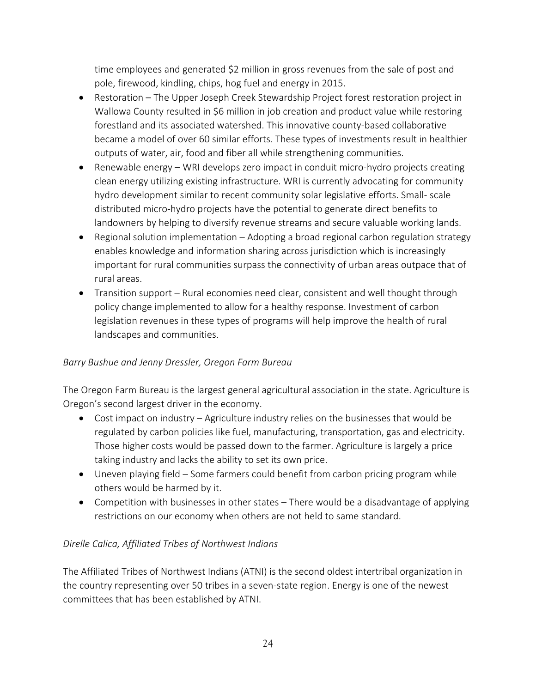time employees and generated \$2 million in gross revenues from the sale of post and pole, firewood, kindling, chips, hog fuel and energy in 2015.

- Restoration The Upper Joseph Creek Stewardship Project forest restoration project in Wallowa County resulted in \$6 million in job creation and product value while restoring forestland and its associated watershed. This innovative county-based collaborative became a model of over 60 similar efforts. These types of investments result in healthier outputs of water, air, food and fiber all while strengthening communities.
- Renewable energy WRI develops zero impact in conduit micro-hydro projects creating clean energy utilizing existing infrastructure. WRI is currently advocating for community hydro development similar to recent community solar legislative efforts. Small- scale distributed micro-hydro projects have the potential to generate direct benefits to landowners by helping to diversify revenue streams and secure valuable working lands.
- Regional solution implementation Adopting a broad regional carbon regulation strategy enables knowledge and information sharing across jurisdiction which is increasingly important for rural communities surpass the connectivity of urban areas outpace that of rural areas.
- Transition support Rural economies need clear, consistent and well thought through policy change implemented to allow for a healthy response. Investment of carbon legislation revenues in these types of programs will help improve the health of rural landscapes and communities.

## *Barry Bushue and Jenny Dressler, Oregon Farm Bureau*

The Oregon Farm Bureau is the largest general agricultural association in the state. Agriculture is Oregon's second largest driver in the economy.

- Cost impact on industry Agriculture industry relies on the businesses that would be regulated by carbon policies like fuel, manufacturing, transportation, gas and electricity. Those higher costs would be passed down to the farmer. Agriculture is largely a price taking industry and lacks the ability to set its own price.
- Uneven playing field Some farmers could benefit from carbon pricing program while others would be harmed by it.
- Competition with businesses in other states There would be a disadvantage of applying restrictions on our economy when others are not held to same standard.

## *Direlle Calica, Affiliated Tribes of Northwest Indians*

The Affiliated Tribes of Northwest Indians (ATNI) is the second oldest intertribal organization in the country representing over 50 tribes in a seven-state region. Energy is one of the newest committees that has been established by ATNI.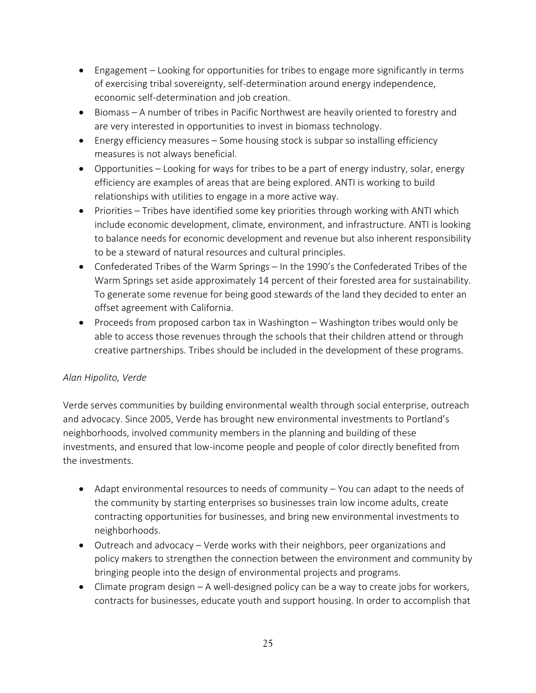- Engagement Looking for opportunities for tribes to engage more significantly in terms of exercising tribal sovereignty, self-determination around energy independence, economic self-determination and job creation.
- Biomass A number of tribes in Pacific Northwest are heavily oriented to forestry and are very interested in opportunities to invest in biomass technology.
- Energy efficiency measures Some housing stock is subpar so installing efficiency measures is not always beneficial.
- Opportunities Looking for ways for tribes to be a part of energy industry, solar, energy efficiency are examples of areas that are being explored. ANTI is working to build relationships with utilities to engage in a more active way.
- Priorities Tribes have identified some key priorities through working with ANTI which include economic development, climate, environment, and infrastructure. ANTI is looking to balance needs for economic development and revenue but also inherent responsibility to be a steward of natural resources and cultural principles.
- Confederated Tribes of the Warm Springs In the 1990's the Confederated Tribes of the Warm Springs set aside approximately 14 percent of their forested area for sustainability. To generate some revenue for being good stewards of the land they decided to enter an offset agreement with California.
- Proceeds from proposed carbon tax in Washington Washington tribes would only be able to access those revenues through the schools that their children attend or through creative partnerships. Tribes should be included in the development of these programs.

## *Alan Hipolito, Verde*

Verde serves communities by building environmental wealth through social enterprise, outreach and advocacy. Since 2005, Verde has brought new environmental investments to Portland's neighborhoods, involved community members in the planning and building of these investments, and ensured that low-income people and people of color directly benefited from the investments.

- Adapt environmental resources to needs of community You can adapt to the needs of the community by starting enterprises so businesses train low income adults, create contracting opportunities for businesses, and bring new environmental investments to neighborhoods.
- Outreach and advocacy Verde works with their neighbors, peer organizations and policy makers to strengthen the connection between the environment and community by bringing people into the design of environmental projects and programs.
- Climate program design A well-designed policy can be a way to create jobs for workers, contracts for businesses, educate youth and support housing. In order to accomplish that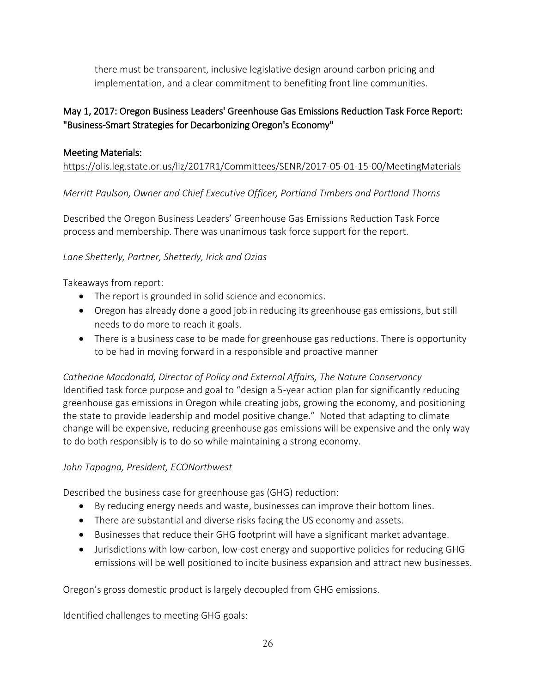there must be transparent, inclusive legislative design around carbon pricing and implementation, and a clear commitment to benefiting front line communities.

# May 1, 2017: Oregon Business Leaders' Greenhouse Gas Emissions Reduction Task Force Report: "Business-Smart Strategies for Decarbonizing Oregon's Economy"

## Meeting Materials:

<https://olis.leg.state.or.us/liz/2017R1/Committees/SENR/2017-05-01-15-00/MeetingMaterials>

*Merritt Paulson, Owner and Chief Executive Officer, Portland Timbers and Portland Thorns*

Described the Oregon Business Leaders' Greenhouse Gas Emissions Reduction Task Force process and membership. There was unanimous task force support for the report.

## *Lane Shetterly, Partner, Shetterly, Irick and Ozias*

Takeaways from report:

- The report is grounded in solid science and economics.
- Oregon has already done a good job in reducing its greenhouse gas emissions, but still needs to do more to reach it goals.
- There is a business case to be made for greenhouse gas reductions. There is opportunity to be had in moving forward in a responsible and proactive manner

*Catherine Macdonald, Director of Policy and External Affairs, The Nature Conservancy* Identified task force purpose and goal to "design a 5-year action plan for significantly reducing greenhouse gas emissions in Oregon while creating jobs, growing the economy, and positioning the state to provide leadership and model positive change." Noted that adapting to climate change will be expensive, reducing greenhouse gas emissions will be expensive and the only way to do both responsibly is to do so while maintaining a strong economy.

# *John Tapogna, President, ECONorthwest*

Described the business case for greenhouse gas (GHG) reduction:

- By reducing energy needs and waste, businesses can improve their bottom lines.
- There are substantial and diverse risks facing the US economy and assets.
- Businesses that reduce their GHG footprint will have a significant market advantage.
- Jurisdictions with low-carbon, low-cost energy and supportive policies for reducing GHG emissions will be well positioned to incite business expansion and attract new businesses.

Oregon's gross domestic product is largely decoupled from GHG emissions.

Identified challenges to meeting GHG goals: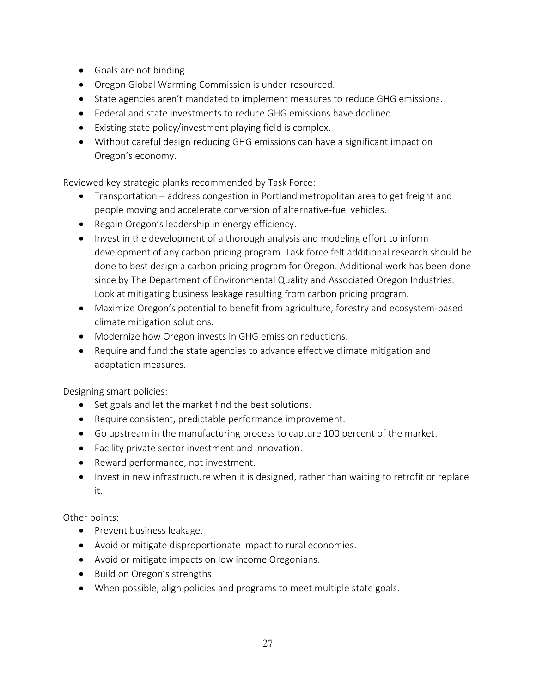- Goals are not binding.
- Oregon Global Warming Commission is under-resourced.
- State agencies aren't mandated to implement measures to reduce GHG emissions.
- Federal and state investments to reduce GHG emissions have declined.
- Existing state policy/investment playing field is complex.
- Without careful design reducing GHG emissions can have a significant impact on Oregon's economy.

Reviewed key strategic planks recommended by Task Force:

- Transportation address congestion in Portland metropolitan area to get freight and people moving and accelerate conversion of alternative-fuel vehicles.
- Regain Oregon's leadership in energy efficiency.
- Invest in the development of a thorough analysis and modeling effort to inform development of any carbon pricing program. Task force felt additional research should be done to best design a carbon pricing program for Oregon. Additional work has been done since by The Department of Environmental Quality and Associated Oregon Industries. Look at mitigating business leakage resulting from carbon pricing program.
- Maximize Oregon's potential to benefit from agriculture, forestry and ecosystem-based climate mitigation solutions.
- Modernize how Oregon invests in GHG emission reductions.
- Require and fund the state agencies to advance effective climate mitigation and adaptation measures.

Designing smart policies:

- Set goals and let the market find the best solutions.
- Require consistent, predictable performance improvement.
- Go upstream in the manufacturing process to capture 100 percent of the market.
- Facility private sector investment and innovation.
- Reward performance, not investment.
- Invest in new infrastructure when it is designed, rather than waiting to retrofit or replace it.

Other points:

- Prevent business leakage.
- Avoid or mitigate disproportionate impact to rural economies.
- Avoid or mitigate impacts on low income Oregonians.
- Build on Oregon's strengths.
- When possible, align policies and programs to meet multiple state goals.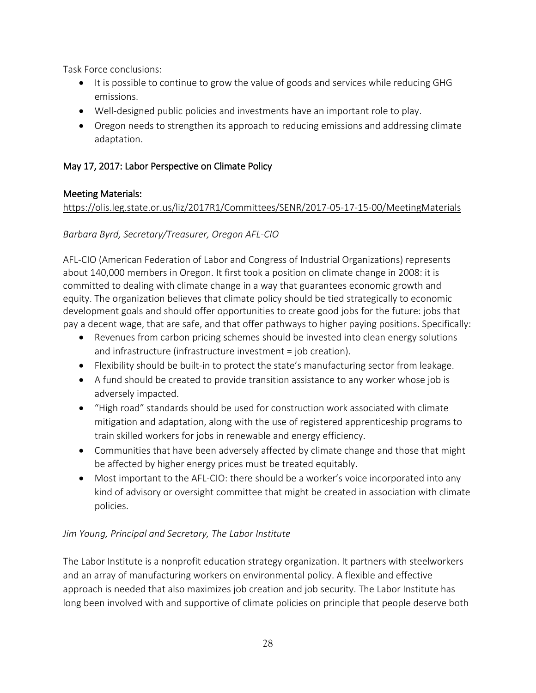Task Force conclusions:

- It is possible to continue to grow the value of goods and services while reducing GHG emissions.
- Well-designed public policies and investments have an important role to play.
- Oregon needs to strengthen its approach to reducing emissions and addressing climate adaptation.

# May 17, 2017: Labor Perspective on Climate Policy

## Meeting Materials:

<https://olis.leg.state.or.us/liz/2017R1/Committees/SENR/2017-05-17-15-00/MeetingMaterials>

*Barbara Byrd, Secretary/Treasurer, Oregon AFL-CIO*

AFL-CIO (American Federation of Labor and Congress of Industrial Organizations) represents about 140,000 members in Oregon. It first took a position on climate change in 2008: it is committed to dealing with climate change in a way that guarantees economic growth and equity. The organization believes that climate policy should be tied strategically to economic development goals and should offer opportunities to create good jobs for the future: jobs that pay a decent wage, that are safe, and that offer pathways to higher paying positions. Specifically:

- Revenues from carbon pricing schemes should be invested into clean energy solutions and infrastructure (infrastructure investment = job creation).
- Flexibility should be built-in to protect the state's manufacturing sector from leakage.
- A fund should be created to provide transition assistance to any worker whose job is adversely impacted.
- "High road" standards should be used for construction work associated with climate mitigation and adaptation, along with the use of registered apprenticeship programs to train skilled workers for jobs in renewable and energy efficiency.
- Communities that have been adversely affected by climate change and those that might be affected by higher energy prices must be treated equitably.
- Most important to the AFL-CIO: there should be a worker's voice incorporated into any kind of advisory or oversight committee that might be created in association with climate policies.

# *Jim Young, Principal and Secretary, The Labor Institute*

The Labor Institute is a nonprofit education strategy organization. It partners with steelworkers and an array of manufacturing workers on environmental policy. A flexible and effective approach is needed that also maximizes job creation and job security. The Labor Institute has long been involved with and supportive of climate policies on principle that people deserve both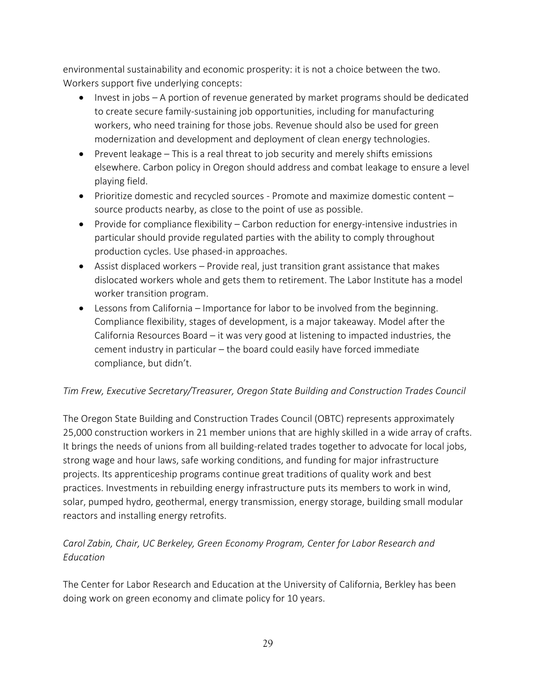environmental sustainability and economic prosperity: it is not a choice between the two. Workers support five underlying concepts:

- Invest in jobs A portion of revenue generated by market programs should be dedicated to create secure family-sustaining job opportunities, including for manufacturing workers, who need training for those jobs. Revenue should also be used for green modernization and development and deployment of clean energy technologies.
- $\bullet$  Prevent leakage This is a real threat to job security and merely shifts emissions elsewhere. Carbon policy in Oregon should address and combat leakage to ensure a level playing field.
- Prioritize domestic and recycled sources Promote and maximize domestic content source products nearby, as close to the point of use as possible.
- Provide for compliance flexibility Carbon reduction for energy-intensive industries in particular should provide regulated parties with the ability to comply throughout production cycles. Use phased-in approaches.
- Assist displaced workers Provide real, just transition grant assistance that makes dislocated workers whole and gets them to retirement. The Labor Institute has a model worker transition program.
- Lessons from California Importance for labor to be involved from the beginning. Compliance flexibility, stages of development, is a major takeaway. Model after the California Resources Board – it was very good at listening to impacted industries, the cement industry in particular – the board could easily have forced immediate compliance, but didn't.

## *Tim Frew, Executive Secretary/Treasurer, Oregon State Building and Construction Trades Council*

The Oregon State Building and Construction Trades Council (OBTC) represents approximately 25,000 construction workers in 21 member unions that are highly skilled in a wide array of crafts. It brings the needs of unions from all building-related trades together to advocate for local jobs, strong wage and hour laws, safe working conditions, and funding for major infrastructure projects. Its apprenticeship programs continue great traditions of quality work and best practices. Investments in rebuilding energy infrastructure puts its members to work in wind, solar, pumped hydro, geothermal, energy transmission, energy storage, building small modular reactors and installing energy retrofits.

# *Carol Zabin, Chair, UC Berkeley, Green Economy Program, Center for Labor Research and Education*

The Center for Labor Research and Education at the University of California, Berkley has been doing work on green economy and climate policy for 10 years.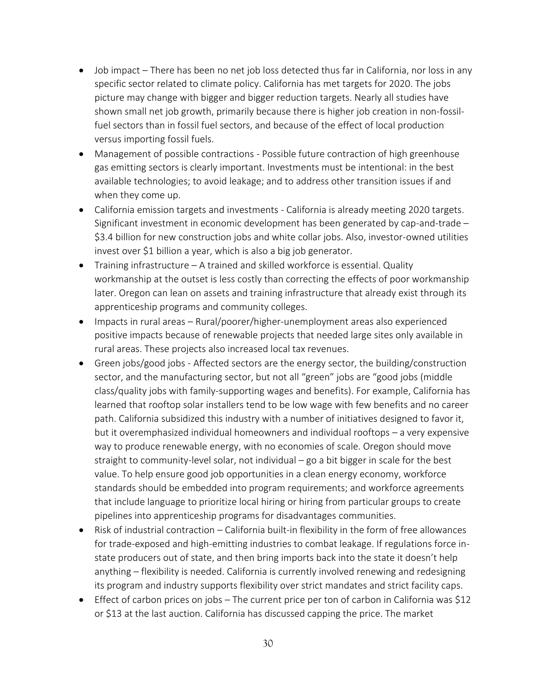- Job impact There has been no net job loss detected thus far in California, nor loss in any specific sector related to climate policy. California has met targets for 2020. The jobs picture may change with bigger and bigger reduction targets. Nearly all studies have shown small net job growth, primarily because there is higher job creation in non-fossilfuel sectors than in fossil fuel sectors, and because of the effect of local production versus importing fossil fuels.
- Management of possible contractions Possible future contraction of high greenhouse gas emitting sectors is clearly important. Investments must be intentional: in the best available technologies; to avoid leakage; and to address other transition issues if and when they come up.
- California emission targets and investments California is already meeting 2020 targets. Significant investment in economic development has been generated by cap-and-trade – \$3.4 billion for new construction jobs and white collar jobs. Also, investor-owned utilities invest over \$1 billion a year, which is also a big job generator.
- Training infrastructure A trained and skilled workforce is essential. Quality workmanship at the outset is less costly than correcting the effects of poor workmanship later. Oregon can lean on assets and training infrastructure that already exist through its apprenticeship programs and community colleges.
- Impacts in rural areas Rural/poorer/higher-unemployment areas also experienced positive impacts because of renewable projects that needed large sites only available in rural areas. These projects also increased local tax revenues.
- Green jobs/good jobs Affected sectors are the energy sector, the building/construction sector, and the manufacturing sector, but not all "green" jobs are "good jobs (middle class/quality jobs with family-supporting wages and benefits). For example, California has learned that rooftop solar installers tend to be low wage with few benefits and no career path. California subsidized this industry with a number of initiatives designed to favor it, but it overemphasized individual homeowners and individual rooftops – a very expensive way to produce renewable energy, with no economies of scale. Oregon should move straight to community-level solar, not individual – go a bit bigger in scale for the best value. To help ensure good job opportunities in a clean energy economy, workforce standards should be embedded into program requirements; and workforce agreements that include language to prioritize local hiring or hiring from particular groups to create pipelines into apprenticeship programs for disadvantages communities.
- Risk of industrial contraction California built-in flexibility in the form of free allowances for trade-exposed and high-emitting industries to combat leakage. If regulations force instate producers out of state, and then bring imports back into the state it doesn't help anything – flexibility is needed. California is currently involved renewing and redesigning its program and industry supports flexibility over strict mandates and strict facility caps.
- Effect of carbon prices on jobs The current price per ton of carbon in California was \$12 or \$13 at the last auction. California has discussed capping the price. The market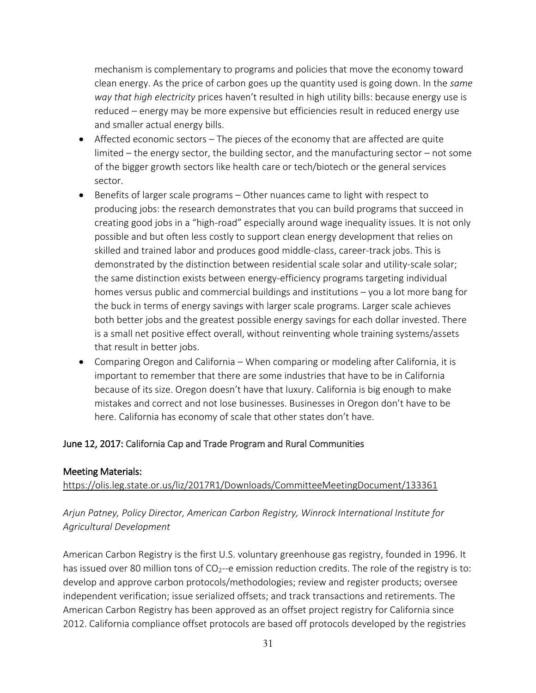mechanism is complementary to programs and policies that move the economy toward clean energy. As the price of carbon goes up the quantity used is going down. In the *same way that high electricity* prices haven't resulted in high utility bills: because energy use is reduced – energy may be more expensive but efficiencies result in reduced energy use and smaller actual energy bills.

- Affected economic sectors The pieces of the economy that are affected are quite limited – the energy sector, the building sector, and the manufacturing sector – not some of the bigger growth sectors like health care or tech/biotech or the general services sector.
- Benefits of larger scale programs Other nuances came to light with respect to producing jobs: the research demonstrates that you can build programs that succeed in creating good jobs in a "high-road" especially around wage inequality issues. It is not only possible and but often less costly to support clean energy development that relies on skilled and trained labor and produces good middle-class, career-track jobs. This is demonstrated by the distinction between residential scale solar and utility-scale solar; the same distinction exists between energy-efficiency programs targeting individual homes versus public and commercial buildings and institutions – you a lot more bang for the buck in terms of energy savings with larger scale programs. Larger scale achieves both better jobs and the greatest possible energy savings for each dollar invested. There is a small net positive effect overall, without reinventing whole training systems/assets that result in better jobs.
- Comparing Oregon and California When comparing or modeling after California, it is important to remember that there are some industries that have to be in California because of its size. Oregon doesn't have that luxury. California is big enough to make mistakes and correct and not lose businesses. Businesses in Oregon don't have to be here. California has economy of scale that other states don't have.

#### June 12, 2017: California Cap and Trade Program and Rural Communities

#### Meeting Materials:

<https://olis.leg.state.or.us/liz/2017R1/Downloads/CommitteeMeetingDocument/133361>

## *Arjun Patney, Policy Director, American Carbon Registry, Winrock International Institute for Agricultural Development*

American Carbon Registry is the first U.S. voluntary greenhouse gas registry, founded in 1996. It has issued over 80 million tons of CO<sub>2</sub>--e emission reduction credits. The role of the registry is to: develop and approve carbon protocols/methodologies; review and register products; oversee independent verification; issue serialized offsets; and track transactions and retirements. The American Carbon Registry has been approved as an offset project registry for California since 2012. California compliance offset protocols are based off protocols developed by the registries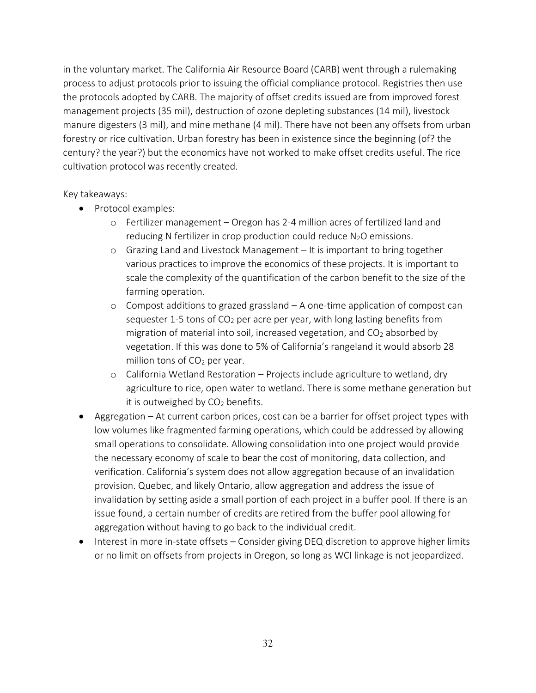in the voluntary market. The California Air Resource Board (CARB) went through a rulemaking process to adjust protocols prior to issuing the official compliance protocol. Registries then use the protocols adopted by CARB. The majority of offset credits issued are from improved forest management projects (35 mil), destruction of ozone depleting substances (14 mil), livestock manure digesters (3 mil), and mine methane (4 mil). There have not been any offsets from urban forestry or rice cultivation. Urban forestry has been in existence since the beginning (of? the century? the year?) but the economics have not worked to make offset credits useful. The rice cultivation protocol was recently created.

#### Key takeaways:

- Protocol examples:
	- o Fertilizer management Oregon has 2-4 million acres of fertilized land and reducing N fertilizer in crop production could reduce  $N_2O$  emissions.
	- o Grazing Land and Livestock Management It is important to bring together various practices to improve the economics of these projects. It is important to scale the complexity of the quantification of the carbon benefit to the size of the farming operation.
	- o Compost additions to grazed grassland A one-time application of compost can sequester 1-5 tons of  $CO<sub>2</sub>$  per acre per year, with long lasting benefits from migration of material into soil, increased vegetation, and  $CO<sub>2</sub>$  absorbed by vegetation. If this was done to 5% of California's rangeland it would absorb 28 million tons of  $CO<sub>2</sub>$  per year.
	- o California Wetland Restoration Projects include agriculture to wetland, dry agriculture to rice, open water to wetland. There is some methane generation but it is outweighed by  $CO<sub>2</sub>$  benefits.
- Aggregation At current carbon prices, cost can be a barrier for offset project types with low volumes like fragmented farming operations, which could be addressed by allowing small operations to consolidate. Allowing consolidation into one project would provide the necessary economy of scale to bear the cost of monitoring, data collection, and verification. California's system does not allow aggregation because of an invalidation provision. Quebec, and likely Ontario, allow aggregation and address the issue of invalidation by setting aside a small portion of each project in a buffer pool. If there is an issue found, a certain number of credits are retired from the buffer pool allowing for aggregation without having to go back to the individual credit.
- Interest in more in-state offsets Consider giving DEQ discretion to approve higher limits or no limit on offsets from projects in Oregon, so long as WCI linkage is not jeopardized.